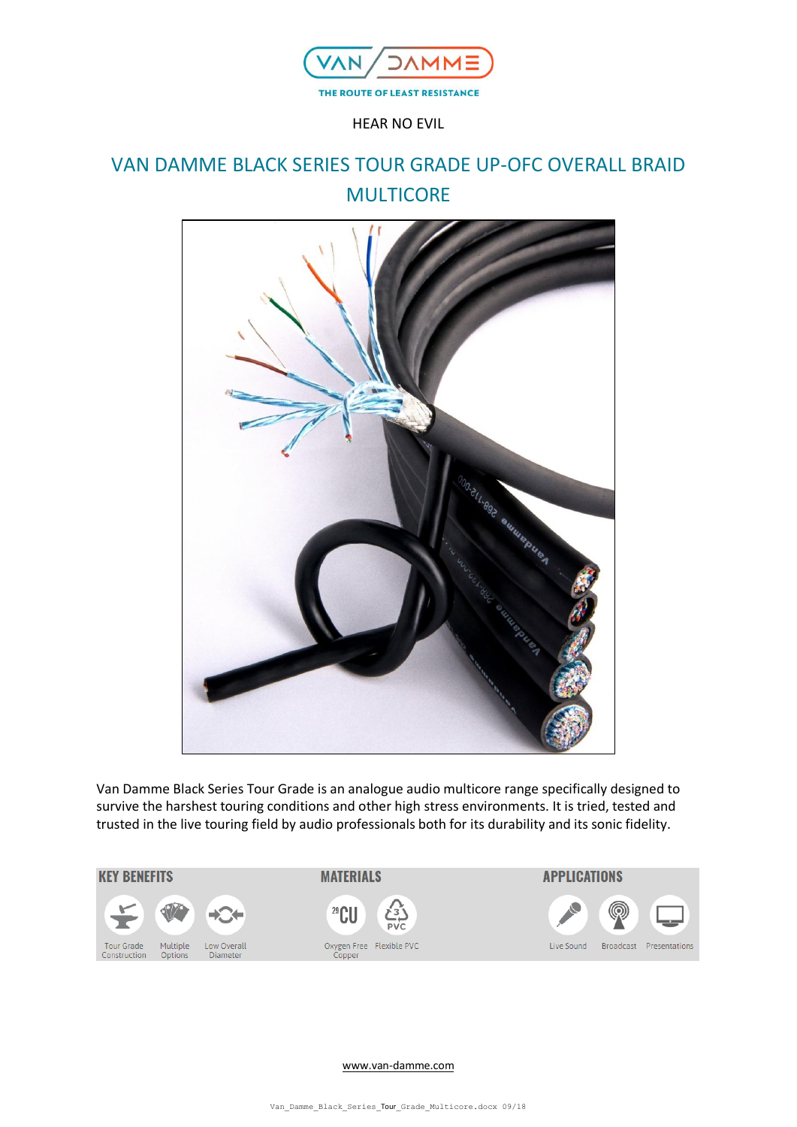

HEAR NO EVIL

# VAN DAMME BLACK SERIES TOUR GRADE UP-OFC OVERALL BRAID **MULTICORE**



Van Damme Black Series Tour Grade is an analogue audio multicore range specifically designed to survive the harshest touring conditions and other high stress environments. It is tried, tested and trusted in the live touring field by audio professionals both for its durability and its sonic fidelity.



[www.van-damme.com](http://www.van-damme.com/)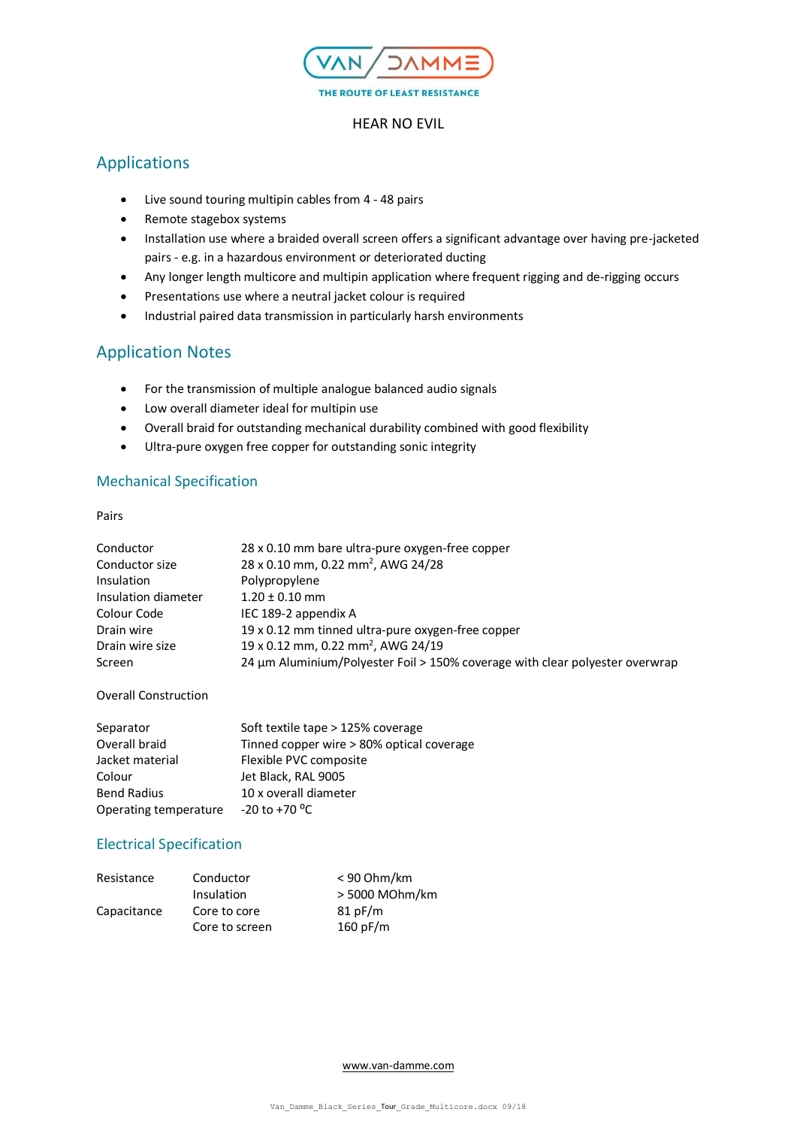

#### HEAR NO EVIL

# Applications

- Live sound touring multipin cables from 4 48 pairs
- Remote stagebox systems
- Installation use where a braided overall screen offers a significant advantage over having pre-jacketed pairs - e.g. in a hazardous environment or deteriorated ducting
- Any longer length multicore and multipin application where frequent rigging and de-rigging occurs
- Presentations use where a neutral jacket colour is required
- Industrial paired data transmission in particularly harsh environments

## Application Notes

- For the transmission of multiple analogue balanced audio signals
- Low overall diameter ideal for multipin use
- Overall braid for outstanding mechanical durability combined with good flexibility
- Ultra-pure oxygen free copper for outstanding sonic integrity

## Mechanical Specification

Pairs

| Conductor           | 28 x 0.10 mm bare ultra-pure oxygen-free copper                              |
|---------------------|------------------------------------------------------------------------------|
| Conductor size      | 28 x 0.10 mm, 0.22 mm <sup>2</sup> , AWG 24/28                               |
| <b>Insulation</b>   | Polypropylene                                                                |
| Insulation diameter | $1.20 \pm 0.10$ mm                                                           |
| Colour Code         | IEC 189-2 appendix A                                                         |
| Drain wire          | 19 x 0.12 mm tinned ultra-pure oxygen-free copper                            |
| Drain wire size     | 19 x 0.12 mm, 0.22 mm <sup>2</sup> , AWG 24/19                               |
| Screen              | 24 µm Aluminium/Polyester Foil > 150% coverage with clear polyester overwrap |

Overall Construction

| Separator             | Soft textile tape > 125% coverage         |
|-----------------------|-------------------------------------------|
| Overall braid         | Tinned copper wire > 80% optical coverage |
| Jacket material       | Flexible PVC composite                    |
| Colour                | Jet Black, RAL 9005                       |
| <b>Bend Radius</b>    | 10 x overall diameter                     |
| Operating temperature | $-20$ to $+70$ <sup>o</sup> C             |

### Electrical Specification

| Resistance  | Conductor      | $< 90$ Ohm/km  |
|-------------|----------------|----------------|
|             | Insulation     | > 5000 MOhm/km |
| Capacitance | Core to core   | 81pF/m         |
|             | Core to screen | 160 pF/m       |

[www.van-damme.com](http://www.van-damme.com/)